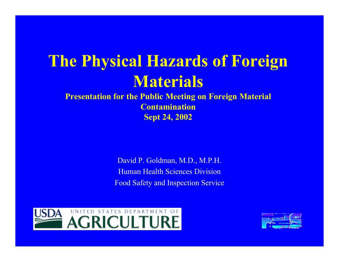### **The Physical Hazards of Foreign Materials**

**Presentation for the Public Meeting on Foreign Material Contamination Sept 24, 2002** 

> David P. Goldman, M.D., M.P.H. Human Health Sciences Division Food Safety and Inspection Service



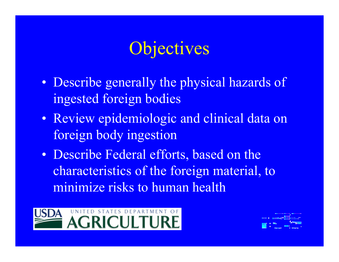## Objectives

- Describe generally the physical hazards of ingested foreign bodies
- Review epidemiologic and clinical data on foreign body ingestion
- Describe Federal efforts, based on the characteristics of the foreign material, to minimize risks to human health



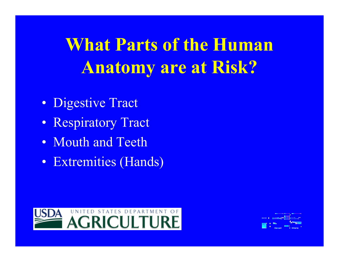**What Parts of the Human Anatomy are at Risk?** 

- Digestive Tract
- Respiratory Tract
- Mouth and Teeth
- Extremities (Hands)



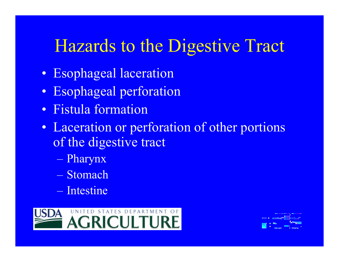## Hazards to the Digestive Tract

- Esophageal laceration
- Esophageal perforation
- Fistula formation
- Laceration or perforation of other portions of the digestive tract
	- Pharynx
	- Stomach
	- Intestine



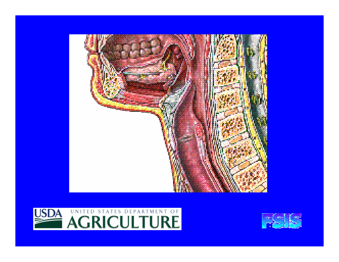



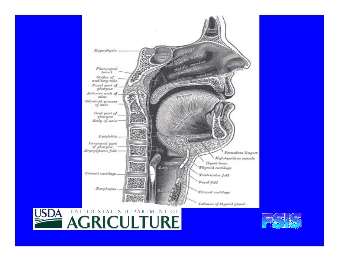



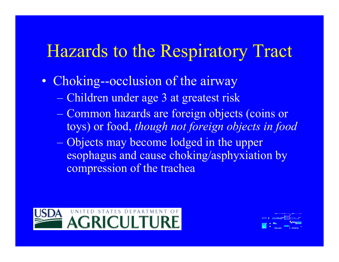## Hazards to the Respiratory Tract

- Choking--occlusion of the airway
	- Children under age 3 at greatest risk
	- Common hazards are foreign objects (coins or toys) or food, *though not foreign objects in food*
	- Objects may become lodged in the upper esophagus and cause choking/asphyxiation by compression of the trachea



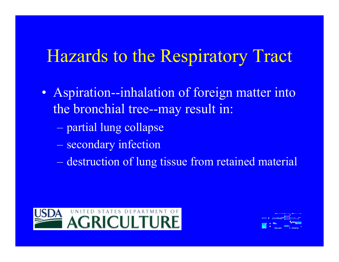## Hazards to the Respiratory Tract

- Aspiration--inhalation of foreign matter into the bronchial tree--may result in:
	- partial lung collapse
	- secondary infection
	- destruction of lung tissue from retained material



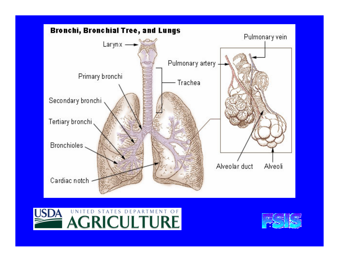



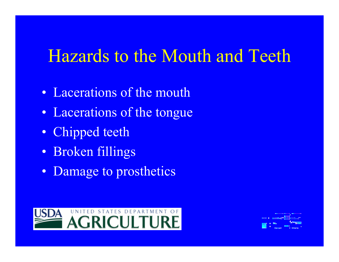## Hazards to the Mouth and Teeth

- Lacerations of the mouth
- Lacerations of the tongue
- Chipped teeth
- Broken fillings
- Damage to prosthetics



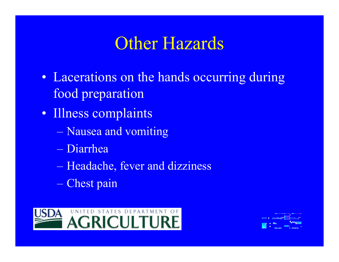## Other Hazards

- Lacerations on the hands occurring during food preparation
- Illness complaints
	- Nausea and vomiting
	- Diarrhea
	- Headache, fever and dizziness
	- Chest pain



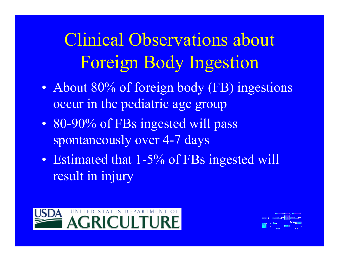Clinical Observations about Foreign Body Ingestion

- About 80% of foreign body (FB) ingestions occur in the pediatric age group
- 80-90% of FBs ingested will pass spontaneously over 4-7 days
- Estimated that 1-5% of FBs ingested will result in injury



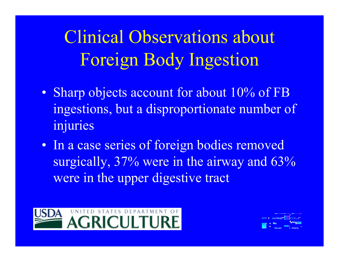Clinical Observations about Foreign Body Ingestion

- Sharp objects account for about 10% of FB ingestions, but a disproportionate number of injuries
- In a case series of foreign bodies removed surgically, 37% were in the airway and 63% were in the upper digestive tract



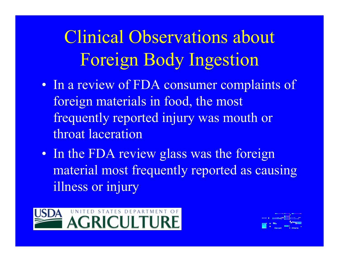# Clinical Observations about Foreign Body Ingestion

- In a review of FDA consumer complaints of foreign materials in food, the most frequently reported injury was mouth or throat laceration
- In the FDA review glass was the foreign material most frequently reported as causing illness or injury



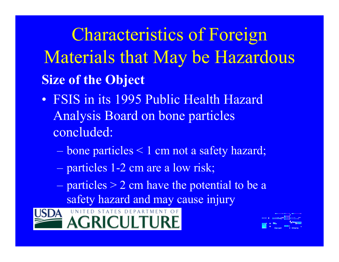Characteristics of Foreign Materials that May be Hazardous **Size of the Object** 

- FSIS in its 1995 Public Health Hazard Analysis Board on bone particles concluded:
	- bone particles < 1 cm not a safety hazard;
	- particles 1-2 cm are a low risk;
	- particles > 2 cm have the potential to be a safety hazard and may cause injury



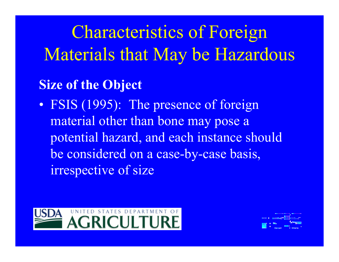Characteristics of Foreign Materials that May be Hazardous

#### **Size of the Object**

• FSIS (1995): The presence of foreign material other than bone may pose a potential hazard, and each instance should be considered on a case-by-case basis, irrespective of size



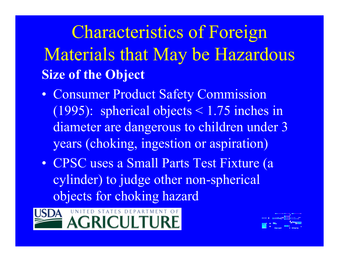Characteristics of Foreign Materials that May be Hazardous **Size of the Object** 

- Consumer Product Safety Commission (1995): spherical objects < 1.75 inches in diameter are dangerous to children under 3 years (choking, ingestion or aspiration)
- CPSC uses a Small Parts Test Fixture (a cylinder) to judge other non-spherical objects for choking hazard



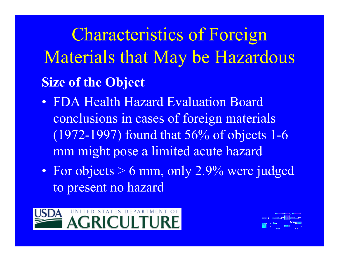Characteristics of Foreign Materials that May be Hazardous **Size of the Object** 

- FDA Health Hazard Evaluation Board conclusions in cases of foreign materials (1972-1997) found that 56% of objects 1-6 mm might pose a limited acute hazard
- For objects > 6 mm, only 2.9% were judged to present no hazard



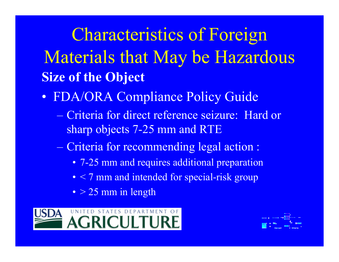Characteristics of Foreign Materials that May be Hazardous **Size of the Object** 

- FDA/ORA Compliance Policy Guide
	- Criteria for direct reference seizure: Hard or sharp objects 7-25 mm and RTE
	- Criteria for recommending legal action :
		- 7-25 mm and requires additional preparation
		- $\leq$  7 mm and intended for special-risk group
		- > 25 mm in length



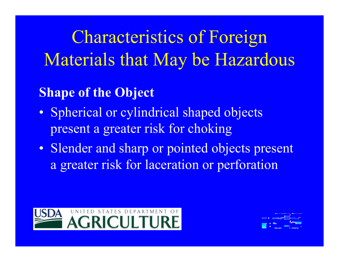Characteristics of Foreign Materials that May be Hazardous

### **Shape of the Object**

- Spherical or cylindrical shaped objects present a greater risk for choking
- Slender and sharp or pointed objects present a greater risk for laceration or perforation



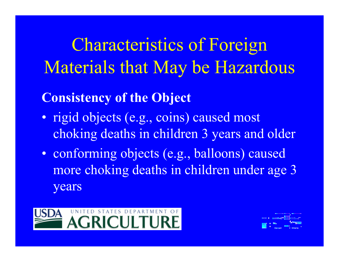Characteristics of Foreign Materials that May be Hazardous

### **Consistency of the Object**

- rigid objects (e.g., coins) caused most choking deaths in children 3 years and older
- conforming objects (e.g., balloons) caused more choking deaths in children under age 3 years

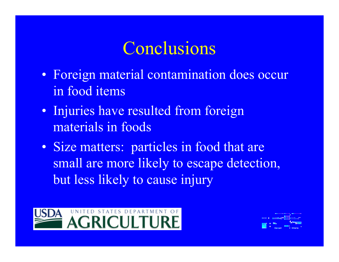## Conclusions

- Foreign material contamination does occur in food items
- Injuries have resulted from foreign materials in foods
- Size matters: particles in food that are small are more likely to escape detection, but less likely to cause injury